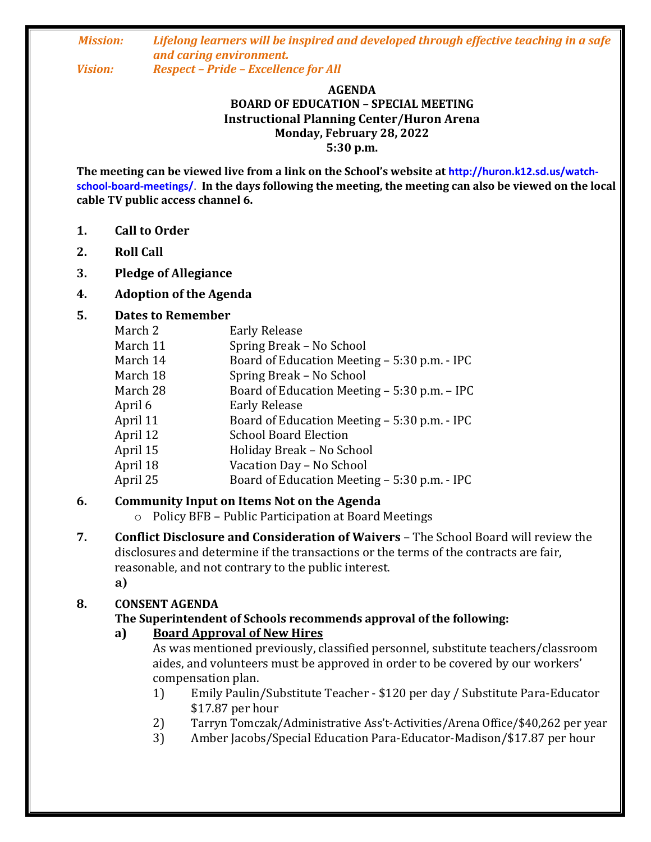#### *Mission: Lifelong learners will be inspired and developed through effective teaching in a safe and caring environment. Vision: Respect – Pride – Excellence for All*

#### **AGENDA BOARD OF EDUCATION – SPECIAL MEETING Instructional Planning Center/Huron Arena Monday, February 28, 2022 5:30 p.m.**

**The meeting can be viewed live from a link on the School's website at http://huron.k12.sd.us/watchschool-board-meetings/**. **In the days following the meeting, the meeting can also be viewed on the local cable TV public access channel 6.**

- **1. Call to Order**
- **2. Roll Call**
- **3. Pledge of Allegiance**
- **4. Adoption of the Agenda**

### **5. Dates to Remember**

| March 2  | <b>Early Release</b>                         |
|----------|----------------------------------------------|
| March 11 | Spring Break - No School                     |
| March 14 | Board of Education Meeting - 5:30 p.m. - IPC |
| March 18 | Spring Break - No School                     |
| March 28 | Board of Education Meeting – 5:30 p.m. – IPC |
| April 6  | <b>Early Release</b>                         |
| April 11 | Board of Education Meeting – 5:30 p.m. - IPC |
| April 12 | <b>School Board Election</b>                 |
| April 15 | Holiday Break - No School                    |
| April 18 | Vacation Day - No School                     |
| April 25 | Board of Education Meeting – 5:30 p.m. - IPC |

## **6. Community Input on Items Not on the Agenda**

- o Policy BFB Public Participation at Board Meetings
- **7. Conflict Disclosure and Consideration of Waivers**  The School Board will review the disclosures and determine if the transactions or the terms of the contracts are fair, reasonable, and not contrary to the public interest.
	- **a)**

## **8. CONSENT AGENDA**

## **The Superintendent of Schools recommends approval of the following:**

## **a) Board Approval of New Hires**

As was mentioned previously, classified personnel, substitute teachers/classroom aides, and volunteers must be approved in order to be covered by our workers' compensation plan.

- 1) Emily Paulin/Substitute Teacher \$120 per day / Substitute Para-Educator \$17.87 per hour
- 2) Tarryn Tomczak/Administrative Ass't-Activities/Arena Office/\$40,262 per year
- 3) Amber Jacobs/Special Education Para-Educator-Madison/\$17.87 per hour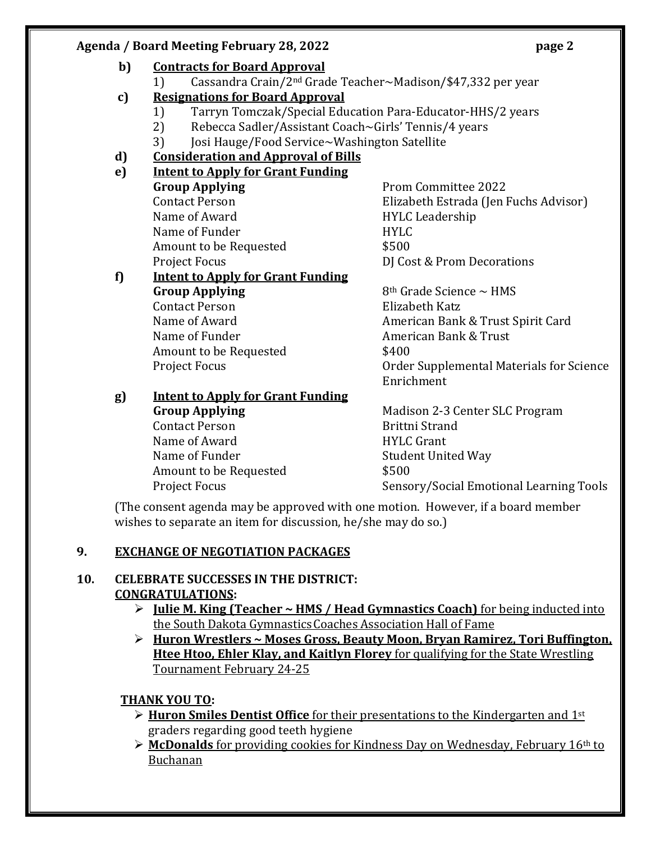## **Agenda / Board Meeting February 28, 2022 page 2**

## **c) Resignations for Board Approval**

- 1) Tarryn Tomczak/Special Education Para-Educator-HHS/2 years
- 2) Rebecca Sadler/Assistant Coach~Girls' Tennis/4 years
- 3) Josi Hauge/Food Service~Washington Satellite

## **d) Consideration and Approval of Bills**

**e) Intent to Apply for Grant Funding Group Applying** Prom Committee 2022 Name of Award **HYLC Leadership** Name of Funder **HYLC** Amount to be Requested  $$500$ Project Focus **DI** Cost & Prom Decorations

#### **f) Intent to Apply for Grant Funding Group Applying** 8<sup>th</sup> Grade Science ~ HMS Contact Person Elizabeth Katz Name of Award **American Bank & Trust Spirit Card** Name of Funder **American Bank & Trust** Amount to be Requested  $$400$

Contact Person Elizabeth Estrada (Jen Fuchs Advisor)

Project Focus Order Supplemental Materials for Science Enrichment

# **g) Intent to Apply for Grant Funding**

Contact Person **Brittni** Strand Name of Award **HYLC Grant** Name of Funder Student United Way Amount to be Requested  $$500$ 

**Group Applying** Madison 2-3 Center SLC Program Project Focus Sensory/Social Emotional Learning Tools

(The consent agenda may be approved with one motion. However, if a board member wishes to separate an item for discussion, he/she may do so.)

## **9. EXCHANGE OF NEGOTIATION PACKAGES**

## **10. CELEBRATE SUCCESSES IN THE DISTRICT: CONGRATULATIONS:**

- **Julie M. King (Teacher ~ HMS / Head Gymnastics Coach)** for being inducted into the South Dakota GymnasticsCoaches Association Hall of Fame
- **Huron Wrestlers ~ Moses Gross, Beauty Moon, Bryan Ramirez, Tori Buffington, Htee Htoo, Ehler Klay, and Kaitlyn Florey** for qualifying for the State Wrestling Tournament February 24-25

## **THANK YOU TO:**

- **Huron Smiles Dentist Office** for their presentations to the Kindergarten and 1st graders regarding good teeth hygiene
- **McDonalds** for providing cookies for Kindness Day on Wednesday, February 16th to Buchanan